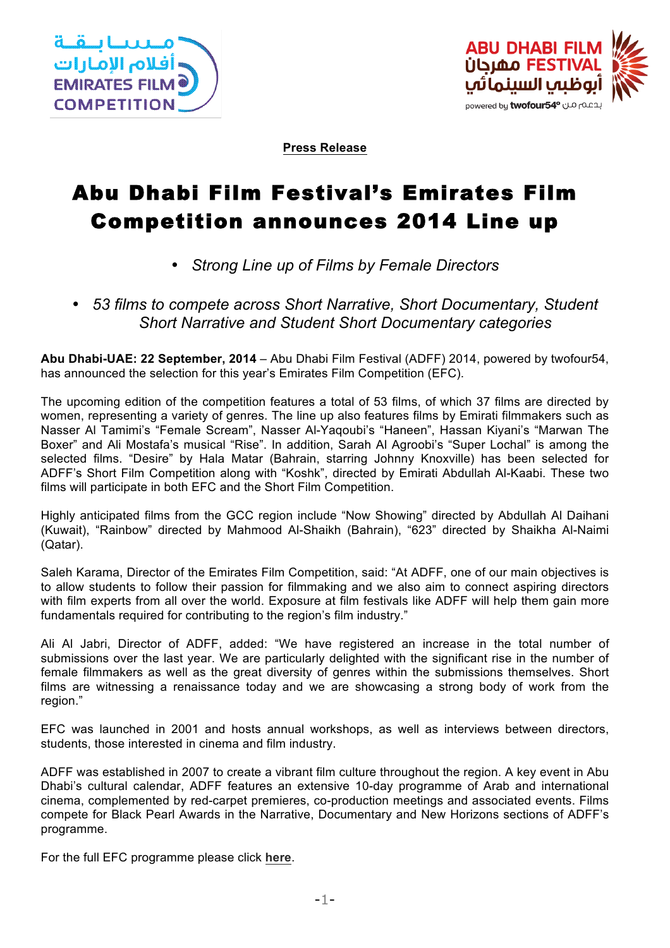



**Press Release**

## Abu Dhabi Film Festival's Emirates Film Competition announces 2014 Line up

- *Strong Line up of Films by Female Directors*
- *53 films to compete across Short Narrative, Short Documentary, Student Short Narrative and Student Short Documentary categories*

**Abu Dhabi-UAE: 22 September, 2014** – Abu Dhabi Film Festival (ADFF) 2014, powered by twofour54, has announced the selection for this year's Emirates Film Competition (EFC).

The upcoming edition of the competition features a total of 53 films, of which 37 films are directed by women, representing a variety of genres. The line up also features films by Emirati filmmakers such as Nasser Al Tamimi's "Female Scream", Nasser Al-Yaqoubi's "Haneen", Hassan Kiyani's "Marwan The Boxer" and Ali Mostafa's musical "Rise". In addition, Sarah Al Agroobi's "Super Lochal" is among the selected films. "Desire" by Hala Matar (Bahrain, starring Johnny Knoxville) has been selected for ADFF's Short Film Competition along with "Koshk", directed by Emirati Abdullah Al-Kaabi. These two films will participate in both EFC and the Short Film Competition.

Highly anticipated films from the GCC region include "Now Showing" directed by Abdullah Al Daihani (Kuwait), "Rainbow" directed by Mahmood Al-Shaikh (Bahrain), "623" directed by Shaikha Al-Naimi (Qatar).

Saleh Karama, Director of the Emirates Film Competition, said: "At ADFF, one of our main objectives is to allow students to follow their passion for filmmaking and we also aim to connect aspiring directors with film experts from all over the world. Exposure at film festivals like ADFF will help them gain more fundamentals required for contributing to the region's film industry."

Ali Al Jabri, Director of ADFF, added: "We have registered an increase in the total number of submissions over the last year. We are particularly delighted with the significant rise in the number of female filmmakers as well as the great diversity of genres within the submissions themselves. Short films are witnessing a renaissance today and we are showcasing a strong body of work from the region."

EFC was launched in 2001 and hosts annual workshops, as well as interviews between directors, students, those interested in cinema and film industry.

ADFF was established in 2007 to create a vibrant film culture throughout the region. A key event in Abu Dhabi's cultural calendar, ADFF features an extensive 10-day programme of Arab and international cinema, complemented by red-carpet premieres, co-production meetings and associated events. Films compete for Black Pearl Awards in the Narrative, Documentary and New Horizons sections of ADFF's programme.

For the full EFC programme please click **here**.